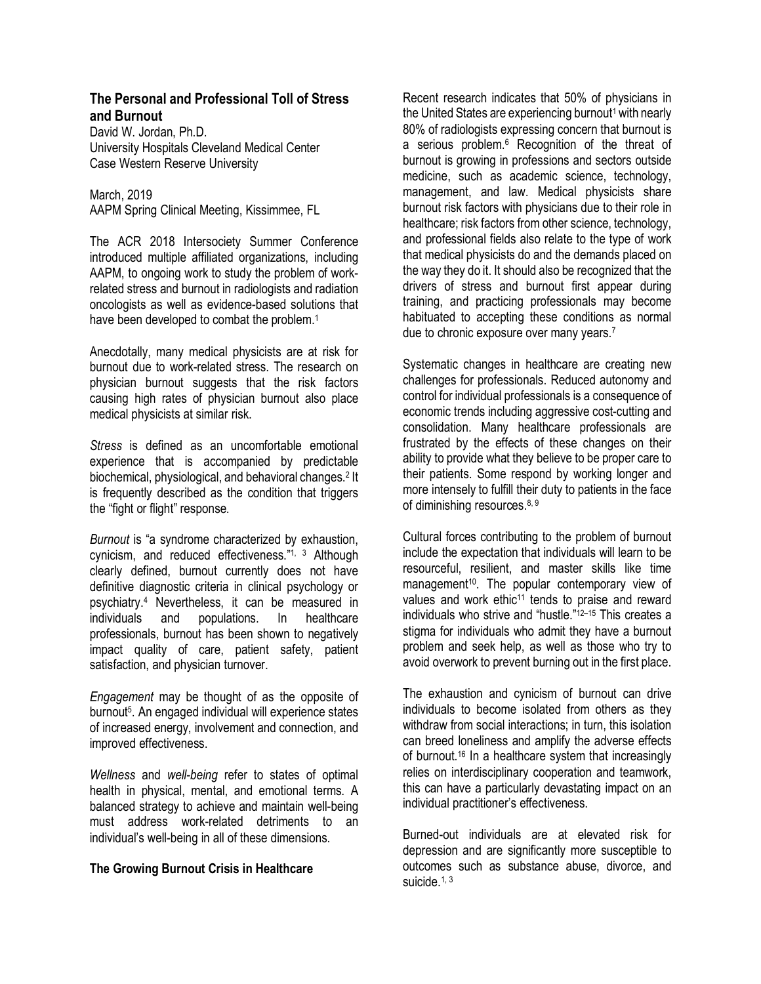# **The Personal and Professional Toll of Stress and Burnout**

David W. Jordan, Ph.D. University Hospitals Cleveland Medical Center Case Western Reserve University

#### March, 2019

AAPM Spring Clinical Meeting, Kissimmee, FL

The ACR 2018 Intersociety Summer Conference introduced multiple affiliated organizations, including AAPM, to ongoing work to study the problem of workrelated stress and burnout in radiologists and radiation oncologists as well as evidence-based solutions that have been developed to combat the problem.<sup>1</sup>

Anecdotally, many medical physicists are at risk for burnout due to work-related stress. The research on physician burnout suggests that the risk factors causing high rates of physician burnout also place medical physicists at similar risk.

*Stress* is defined as an uncomfortable emotional experience that is accompanied by predictable biochemical, physiological, and behavioral changes.2 It is frequently described as the condition that triggers the "fight or flight" response.

*Burnout* is "a syndrome characterized by exhaustion, cynicism, and reduced effectiveness."<sup>1, 3</sup> Although clearly defined, burnout currently does not have definitive diagnostic criteria in clinical psychology or psychiatry.4 Nevertheless, it can be measured in individuals and populations. In healthcare professionals, burnout has been shown to negatively impact quality of care, patient safety, patient satisfaction, and physician turnover.

*Engagement* may be thought of as the opposite of burnout<sup>5</sup>. An engaged individual will experience states of increased energy, involvement and connection, and improved effectiveness.

*Wellness* and *well-being* refer to states of optimal health in physical, mental, and emotional terms. A balanced strategy to achieve and maintain well-being must address work-related detriments to an individual's well-being in all of these dimensions.

### **The Growing Burnout Crisis in Healthcare**

Recent research indicates that 50% of physicians in the United States are experiencing burnout<sup>1</sup> with nearly 80% of radiologists expressing concern that burnout is a serious problem.<sup>6</sup> Recognition of the threat of burnout is growing in professions and sectors outside medicine, such as academic science, technology, management, and law. Medical physicists share burnout risk factors with physicians due to their role in healthcare; risk factors from other science, technology, and professional fields also relate to the type of work that medical physicists do and the demands placed on the way they do it. It should also be recognized that the drivers of stress and burnout first appear during training, and practicing professionals may become habituated to accepting these conditions as normal due to chronic exposure over many years.<sup>7</sup>

Systematic changes in healthcare are creating new challenges for professionals. Reduced autonomy and control for individual professionals is a consequence of economic trends including aggressive cost-cutting and consolidation. Many healthcare professionals are frustrated by the effects of these changes on their ability to provide what they believe to be proper care to their patients. Some respond by working longer and more intensely to fulfill their duty to patients in the face of diminishing resources. 8, 9

Cultural forces contributing to the problem of burnout include the expectation that individuals will learn to be resourceful, resilient, and master skills like time management<sup>10</sup>. The popular contemporary view of values and work ethic<sup>11</sup> tends to praise and reward individuals who strive and "hustle." 12–15 This creates a stigma for individuals who admit they have a burnout problem and seek help, as well as those who try to avoid overwork to prevent burning out in the first place.

The exhaustion and cynicism of burnout can drive individuals to become isolated from others as they withdraw from social interactions; in turn, this isolation can breed loneliness and amplify the adverse effects of burnout.16 In a healthcare system that increasingly relies on interdisciplinary cooperation and teamwork, this can have a particularly devastating impact on an individual practitioner's effectiveness.

Burned-out individuals are at elevated risk for depression and are significantly more susceptible to outcomes such as substance abuse, divorce, and suicide. $1, 3$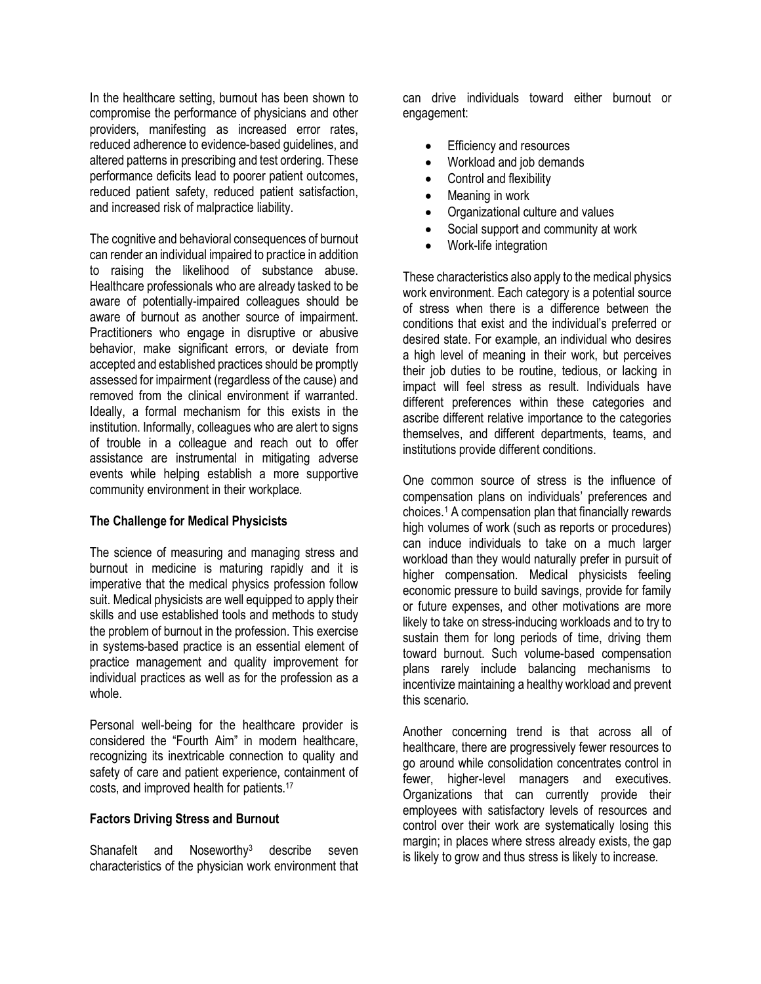In the healthcare setting, burnout has been shown to compromise the performance of physicians and other providers, manifesting as increased error rates, reduced adherence to evidence-based guidelines, and altered patterns in prescribing and test ordering. These performance deficits lead to poorer patient outcomes, reduced patient safety, reduced patient satisfaction, and increased risk of malpractice liability.

The cognitive and behavioral consequences of burnout can render an individual impaired to practice in addition to raising the likelihood of substance abuse. Healthcare professionals who are already tasked to be aware of potentially-impaired colleagues should be aware of burnout as another source of impairment. Practitioners who engage in disruptive or abusive behavior, make significant errors, or deviate from accepted and established practices should be promptly assessed for impairment (regardless of the cause) and removed from the clinical environment if warranted. Ideally, a formal mechanism for this exists in the institution. Informally, colleagues who are alert to signs of trouble in a colleague and reach out to offer assistance are instrumental in mitigating adverse events while helping establish a more supportive community environment in their workplace.

### **The Challenge for Medical Physicists**

The science of measuring and managing stress and burnout in medicine is maturing rapidly and it is imperative that the medical physics profession follow suit. Medical physicists are well equipped to apply their skills and use established tools and methods to study the problem of burnout in the profession. This exercise in systems-based practice is an essential element of practice management and quality improvement for individual practices as well as for the profession as a whole.

Personal well-being for the healthcare provider is considered the "Fourth Aim" in modern healthcare, recognizing its inextricable connection to quality and safety of care and patient experience, containment of costs, and improved health for patients.17

### **Factors Driving Stress and Burnout**

Shanafelt and Noseworthy<sup>3</sup> describe seven characteristics of the physician work environment that can drive individuals toward either burnout or engagement:

- Efficiency and resources
- Workload and job demands
- Control and flexibility
- Meaning in work
- Organizational culture and values
- Social support and community at work
- Work-life integration

These characteristics also apply to the medical physics work environment. Each category is a potential source of stress when there is a difference between the conditions that exist and the individual's preferred or desired state. For example, an individual who desires a high level of meaning in their work, but perceives their job duties to be routine, tedious, or lacking in impact will feel stress as result. Individuals have different preferences within these categories and ascribe different relative importance to the categories themselves, and different departments, teams, and institutions provide different conditions.

One common source of stress is the influence of compensation plans on individuals' preferences and choices.1 A compensation plan that financially rewards high volumes of work (such as reports or procedures) can induce individuals to take on a much larger workload than they would naturally prefer in pursuit of higher compensation. Medical physicists feeling economic pressure to build savings, provide for family or future expenses, and other motivations are more likely to take on stress-inducing workloads and to try to sustain them for long periods of time, driving them toward burnout. Such volume-based compensation plans rarely include balancing mechanisms to incentivize maintaining a healthy workload and prevent this scenario.

Another concerning trend is that across all of healthcare, there are progressively fewer resources to go around while consolidation concentrates control in fewer, higher-level managers and executives. Organizations that can currently provide their employees with satisfactory levels of resources and control over their work are systematically losing this margin; in places where stress already exists, the gap is likely to grow and thus stress is likely to increase.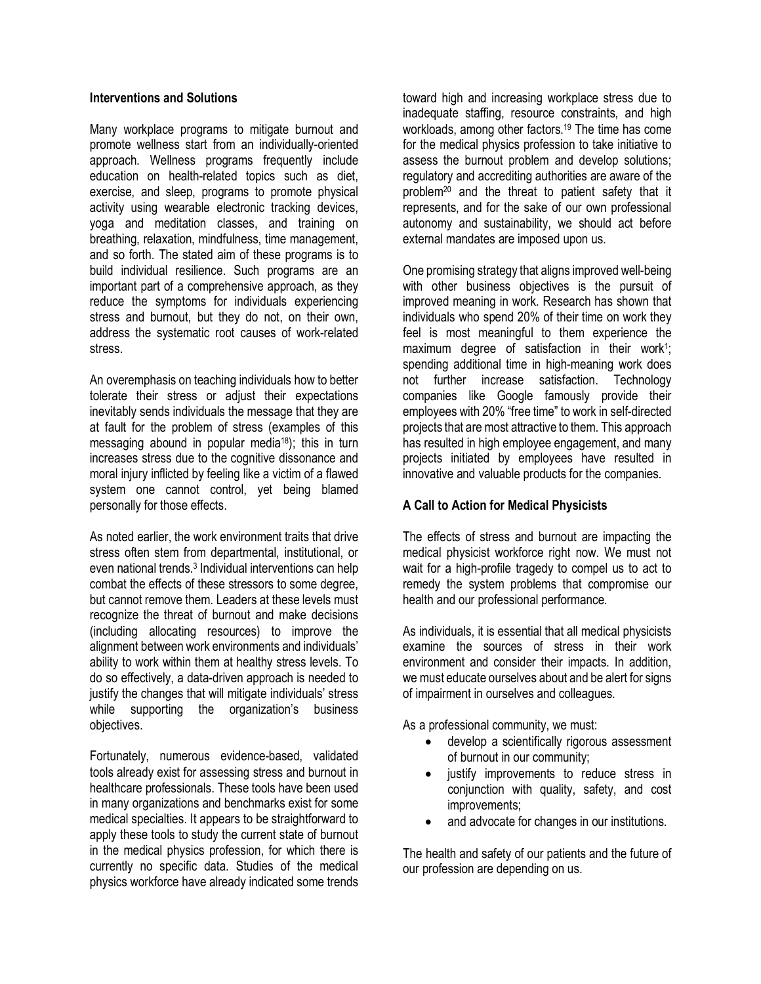#### **Interventions and Solutions**

Many workplace programs to mitigate burnout and promote wellness start from an individually-oriented approach. Wellness programs frequently include education on health-related topics such as diet, exercise, and sleep, programs to promote physical activity using wearable electronic tracking devices, yoga and meditation classes, and training on breathing, relaxation, mindfulness, time management, and so forth. The stated aim of these programs is to build individual resilience. Such programs are an important part of a comprehensive approach, as they reduce the symptoms for individuals experiencing stress and burnout, but they do not, on their own, address the systematic root causes of work-related stress.

An overemphasis on teaching individuals how to better tolerate their stress or adjust their expectations inevitably sends individuals the message that they are at fault for the problem of stress (examples of this messaging abound in popular media<sup>18</sup>); this in turn increases stress due to the cognitive dissonance and moral injury inflicted by feeling like a victim of a flawed system one cannot control, yet being blamed personally for those effects.

As noted earlier, the work environment traits that drive stress often stem from departmental, institutional, or even national trends.3 Individual interventions can help combat the effects of these stressors to some degree, but cannot remove them. Leaders at these levels must recognize the threat of burnout and make decisions (including allocating resources) to improve the alignment between work environments and individuals' ability to work within them at healthy stress levels. To do so effectively, a data-driven approach is needed to justify the changes that will mitigate individuals' stress while supporting the organization's business objectives.

Fortunately, numerous evidence-based, validated tools already exist for assessing stress and burnout in healthcare professionals. These tools have been used in many organizations and benchmarks exist for some medical specialties. It appears to be straightforward to apply these tools to study the current state of burnout in the medical physics profession, for which there is currently no specific data. Studies of the medical physics workforce have already indicated some trends toward high and increasing workplace stress due to inadequate staffing, resource constraints, and high workloads, among other factors.<sup>19</sup> The time has come for the medical physics profession to take initiative to assess the burnout problem and develop solutions; regulatory and accrediting authorities are aware of the problem<sup>20</sup> and the threat to patient safety that it represents, and for the sake of our own professional autonomy and sustainability, we should act before external mandates are imposed upon us.

One promising strategy that aligns improved well-being with other business objectives is the pursuit of improved meaning in work. Research has shown that individuals who spend 20% of their time on work they feel is most meaningful to them experience the maximum degree of satisfaction in their work<sup>1</sup>; spending additional time in high-meaning work does not further increase satisfaction. Technology companies like Google famously provide their employees with 20% "free time" to work in self-directed projects that are most attractive to them. This approach has resulted in high employee engagement, and many projects initiated by employees have resulted in innovative and valuable products for the companies.

# **A Call to Action for Medical Physicists**

The effects of stress and burnout are impacting the medical physicist workforce right now. We must not wait for a high-profile tragedy to compel us to act to remedy the system problems that compromise our health and our professional performance.

As individuals, it is essential that all medical physicists examine the sources of stress in their work environment and consider their impacts. In addition, we must educate ourselves about and be alert for signs of impairment in ourselves and colleagues.

As a professional community, we must:

- develop a scientifically rigorous assessment of burnout in our community;
- justify improvements to reduce stress in conjunction with quality, safety, and cost improvements;
- and advocate for changes in our institutions.

The health and safety of our patients and the future of our profession are depending on us.